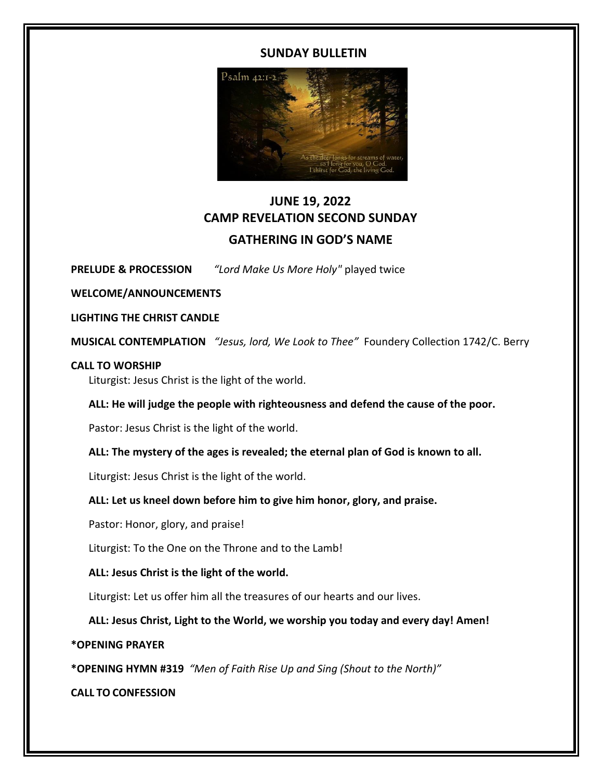# **SUNDAY BULLETIN**



# **JUNE 19, 2022 CAMP REVELATION SECOND SUNDAY GATHERING IN GOD'S NAME**

**PRELUDE & PROCESSION** *"Lord Make Us More Holy"* played twice

**WELCOME/ANNOUNCEMENTS** 

**LIGHTING THE CHRIST CANDLE** 

**MUSICAL CONTEMPLATION** *"Jesus, lord, We Look to Thee"* Foundery Collection 1742/C. Berry

### **CALL TO WORSHIP**

Liturgist: Jesus Christ is the light of the world.

# **ALL: He will judge the people with righteousness and defend the cause of the poor.**

Pastor: Jesus Christ is the light of the world.

# **ALL: The mystery of the ages is revealed; the eternal plan of God is known to all.**

Liturgist: Jesus Christ is the light of the world.

# **ALL: Let us kneel down before him to give him honor, glory, and praise.**

Pastor: Honor, glory, and praise!

Liturgist: To the One on the Throne and to the Lamb!

# **ALL: Jesus Christ is the light of the world.**

Liturgist: Let us offer him all the treasures of our hearts and our lives.

**ALL: Jesus Christ, Light to the World, we worship you today and every day! Amen!**

# **\*OPENING PRAYER**

**\*OPENING HYMN #319** *"Men of Faith Rise Up and Sing (Shout to the North)"*

**CALL TO CONFESSION**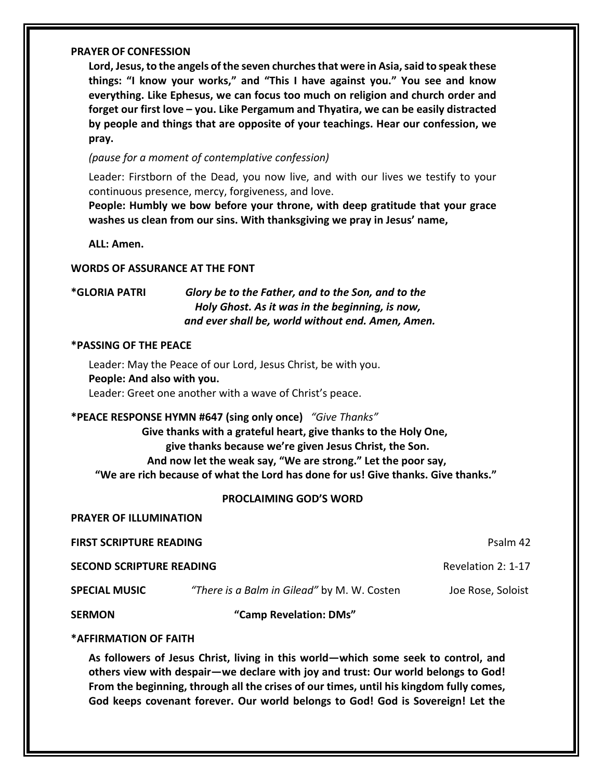#### **PRAYER OF CONFESSION**

**Lord, Jesus,to the angels ofthe seven churchesthat were in Asia,said to speak these things: "I know your works," and "This I have against you." You see and know everything. Like Ephesus, we can focus too much on religion and church order and forget our first love – you. Like Pergamum and Thyatira, we can be easily distracted by people and things that are opposite of your teachings. Hear our confession, we pray.**

*(pause for a moment of contemplative confession)*

Leader: Firstborn of the Dead, you now live, and with our lives we testify to your continuous presence, mercy, forgiveness, and love.

**People: Humbly we bow before your throne, with deep gratitude that your grace washes us clean from our sins. With thanksgiving we pray in Jesus' name,**

**ALL: Amen.**

#### **WORDS OF ASSURANCE AT THE FONT**

**\*GLORIA PATRI** *Glory be to the Father, and to the Son, and to the Holy Ghost. As it was in the beginning, is now, and ever shall be, world without end. Amen, Amen.*

#### **\*PASSING OF THE PEACE**

Leader: May the Peace of our Lord, Jesus Christ, be with you. **People: And also with you.**  Leader: Greet one another with a wave of Christ's peace.

**\*PEACE RESPONSE HYMN #647 (sing only once)** *"Give Thanks"*

 **Give thanks with a grateful heart, give thanks to the Holy One, give thanks because we're given Jesus Christ, the Son. And now let the weak say, "We are strong." Let the poor say, "We are rich because of what the Lord has done for us! Give thanks. Give thanks."**

#### **PROCLAIMING GOD'S WORD**

**PRAYER OF ILLUMINATION**

**FIRST SCRIPTURE READING** Psalm 42

**SECOND SCRIPTURE READING CONDUCTER ACCOUNT ACCOUNT ACCOUNT ACCOUNT ACCOUNT ACCOUNT ACCOUNT ACCOUNT ACCOUNT ACCOUNT ACCOUNT ACCOUNT ACCOUNT ACCOUNT ACCOUNT ACCOUNT ACCOUNT ACCOUNT ACCOUNT ACCOUNT ACCOUNT ACCOUNT ACCOUNT** 

**SPECIAL MUSIC** *"There is a Balm in Gilead"* by M. W. Costen Joe Rose, Soloist

**SERMON "Camp Revelation: DMs"** 

### **\*AFFIRMATION OF FAITH**

**As followers of Jesus Christ, living in this world—which some seek to control, and others view with despair—we declare with joy and trust: Our world belongs to God! From the beginning, through all the crises of our times, until his kingdom fully comes, God keeps covenant forever. Our world belongs to God! God is Sovereign! Let the**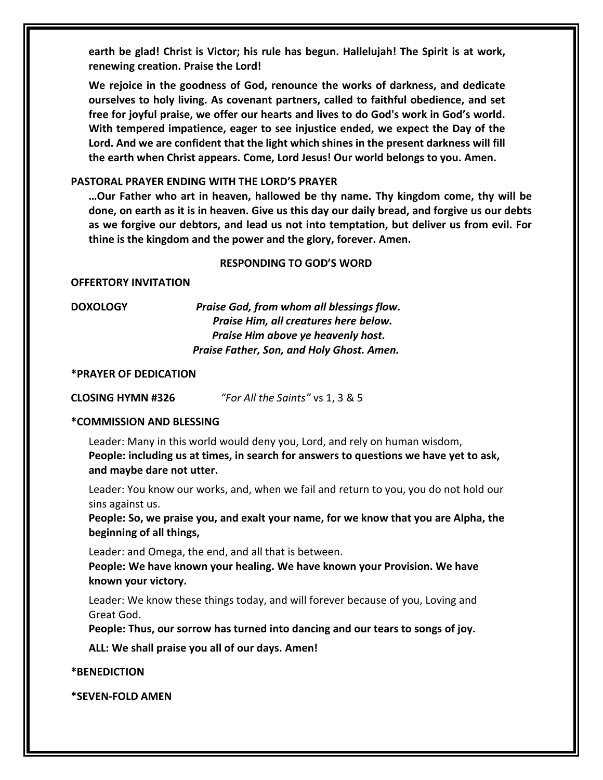**earth be glad! Christ is Victor; his rule has begun. Hallelujah! The Spirit is at work, renewing creation. Praise the Lord!**

**We rejoice in the goodness of God, renounce the works of darkness, and dedicate ourselves to holy living. As covenant partners, called to faithful obedience, and set free for joyful praise, we offer our hearts and lives to do God's work in God's world. With tempered impatience, eager to see injustice ended, we expect the Day of the Lord. And we are confident that the light which shines in the present darkness will fill the earth when Christ appears. Come, Lord Jesus! Our world belongs to you. Amen.**

### **PASTORAL PRAYER ENDING WITH THE LORD'S PRAYER**

**…Our Father who art in heaven, hallowed be thy name. Thy kingdom come, thy will be** done, on earth as it is in heaven. Give us this day our daily bread, and forgive us our debts **as we forgive our debtors, and lead us not into temptation, but deliver us from evil. For thine is the kingdom and the power and the glory, forever. Amen.**

#### **RESPONDING TO GOD'S WORD**

**OFFERTORY INVITATION** 

**DOXOLOGY** *Praise God, from whom all blessings flow. Praise Him, all creatures here below. Praise Him above ye heavenly host. Praise Father, Son, and Holy Ghost. Amen.*

#### **\*PRAYER OF DEDICATION**

**CLOSING HYMN #326** *"For All the Saints"* vs 1, 3 & 5

#### **\*COMMISSION AND BLESSING**

Leader: Many in this world would deny you, Lord, and rely on human wisdom, **People: including us at times, in search for answers to questions we have yet to ask, and maybe dare not utter.**

Leader: You know our works, and, when we fail and return to you, you do not hold our sins against us.

**People: So, we praise you, and exalt your name, for we know that you are Alpha, the beginning of all things,**

Leader: and Omega, the end, and all that is between.

**People: We have known your healing. We have known your Provision. We have known your victory.**

Leader: We know these things today, and will forever because of you, Loving and Great God.

**People: Thus, our sorrow has turned into dancing and our tears to songs of joy.**

**ALL: We shall praise you all of our days. Amen!**

**\*BENEDICTION**

**\*SEVEN-FOLD AMEN**